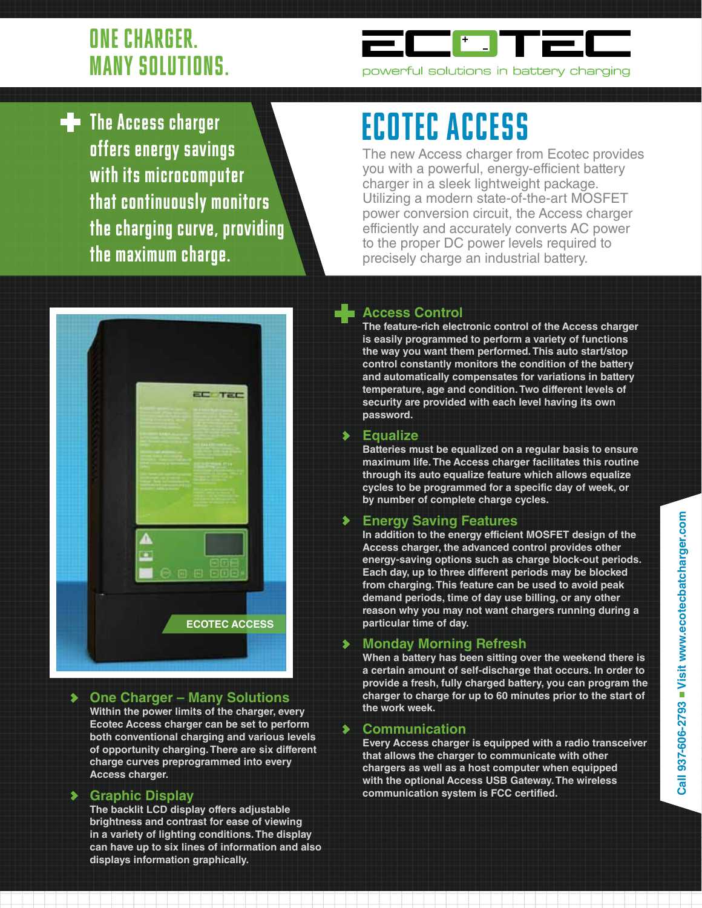## ONE CHARGER. MANY SOLUTIONS.



 $\blacksquare$  The Access charger offers energy savings with its microcomputer that continuously monitors the charging curve, providing the maximum charge.

# ECOTEC ACCESS

The new Access charger from Ecotec provides you with a powerful, energy-efficient battery charger in a sleek lightweight package. Utilizing a modern state-of-the-art MOSFET power conversion circuit, the Access charger efficiently and accurately converts AC power to the proper DC power levels required to precisely charge an industrial battery.



**One Charger – Many Solutions**  $\blacktriangleright$ **Within the power limits of the charger, every Ecotec Access charger can be set to perform both conventional charging and various levels of opportunity charging. There are six different charge curves preprogrammed into every Access charger.**

### $\blacktriangleright$ **Graphic Display**

**The backlit LCD display offers adjustable brightness and contrast for ease of viewing in a variety of lighting conditions. The display can have up to six lines of information and also displays information graphically.**

## **Access Control**

**The feature-rich electronic control of the Access charger is easily programmed to perform a variety of functions the way you want them performed. This auto start/stop control constantly monitors the condition of the battery and automatically compensates for variations in battery temperature, age and condition. Two different levels of security are provided with each level having its own password.**

### **Equalize**

**Batteries must be equalized on a regular basis to ensure maximum life. The Access charger facilitates this routine through its auto equalize feature which allows equalize cycles to be programmed for a specific day of week, or by number of complete charge cycles.**

### **Energy Saving Features**

**In addition to the energy efficient MOSFET design of the Access charger, the advanced control provides other energy-saving options such as charge block-out periods. Each day, up to three different periods may be blocked from charging. This feature can be used to avoid peak demand periods, time of day use billing, or any other reason why you may not want chargers running during a particular time of day.**

## **Monday Morning Refresh**

**When a battery has been sitting over the weekend there is a certain amount of self-discharge that occurs. In order to provide a fresh, fully charged battery, you can program the charger to charge for up to 60 minutes prior to the start of the work week.**

### **Communication**

⋟

**Every Access charger is equipped with a radio transceiver that allows the charger to communicate with other chargers as well as a host computer when equipped with the optional Access USB Gateway. The wireless communication system is FCC certified.**